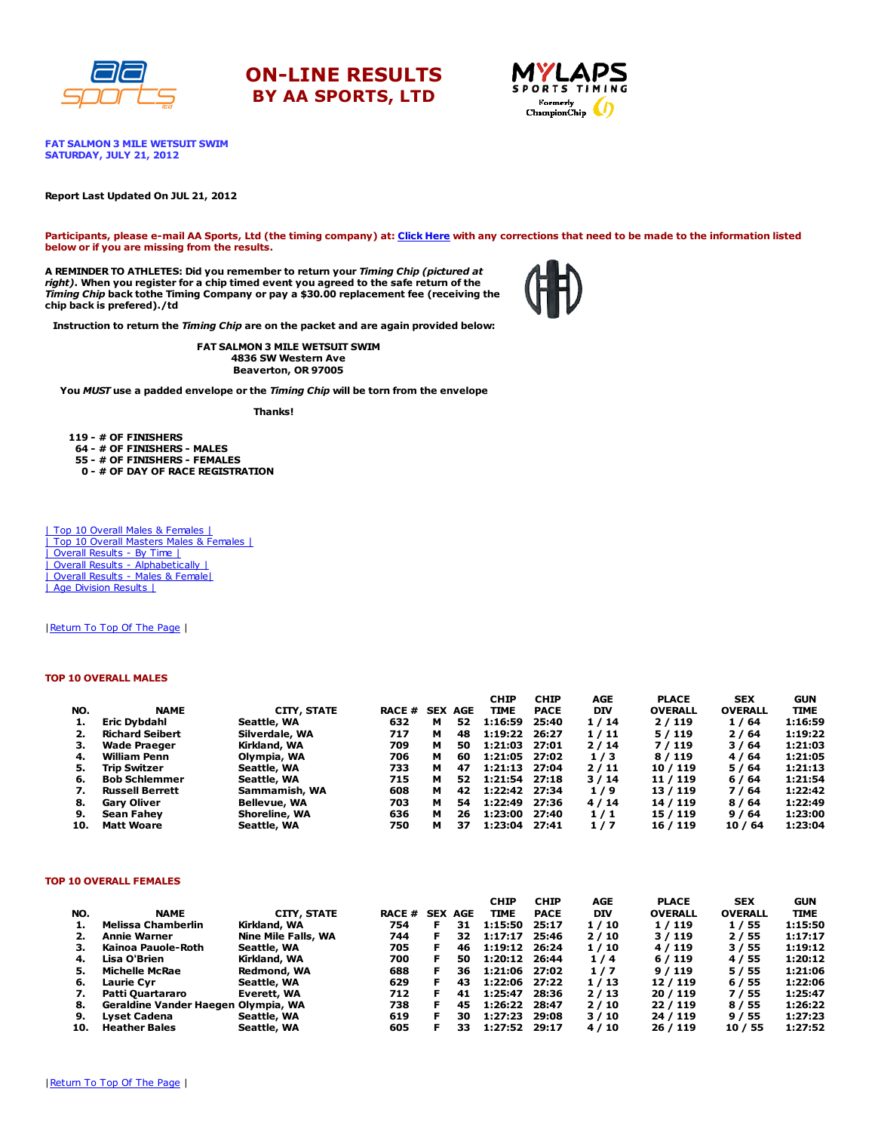

# ON-LINE RESULTS BY AA SPORTS, LTD



FAT SALMON 3 MILE WETSUIT SWIM SATURDAY, JULY 21, 2012

#### Report Last Updated On JUL 21, 2012

Participants, please e-mail AA Sports, Ltd (the timing company) at: [Click](http://www.racecenter.com/aa-sports-results-inquiry/) Here with any corrections that need to be made to the information listed below or if you are missing from the results.

A REMINDER TO ATHLETES: Did you remember to return your Timing Chip (pictured at right). When you register for a chip timed event you agreed to the safe return of the Timing Chip back tothe Timing Company or pay a \$30.00 replacement fee (receiving the chip back is prefered)./td



Instruction to return the Timing Chip are on the packet and are again provided below:

FAT SALMON 3 MILE WETSUIT SWIM 4836 SW Western Ave Beaverton, OR 97005

You MUST use a padded envelope or the Timing Chip will be torn from the envelope

Thanks!

 - # OF FINISHERS - # OF FINISHERS - MALES - # OF FINISHERS - FEMALES - # OF DAY OF RACE REGISTRATION

| Top 10 Overall Males & Females | | Top 10 Overall Masters Males & Females | | Overall Results - By Time | | Overall Results - [Alphabetically](http://www.racecenter.com/results/2012/res_s4al12.htm) | | Overall Results - Males & [Female|](http://www.racecenter.com/results/2012/res_s4og12.htm) | Age [Division](http://www.racecenter.com/results/2012/res_s4ag12.htm) Results |

| Return To Top Of The Page |

#### TOP 10 OVERALL MALES

|     |                        |                     |               |   |                | <b>CHIP</b>   | <b>CHIP</b> | <b>AGE</b> | <b>PLACE</b>   | <b>SEX</b>     | <b>GUN</b>  |
|-----|------------------------|---------------------|---------------|---|----------------|---------------|-------------|------------|----------------|----------------|-------------|
| NO. | <b>NAME</b>            | CITY, STATE         | <b>RACE #</b> |   | <b>SEX AGE</b> | TIME          | <b>PACE</b> | <b>DIV</b> | <b>OVERALL</b> | <b>OVERALL</b> | <b>TIME</b> |
| 1.  | Eric Dybdahl           | Seattle, WA         | 632           | м | 52             | 1:16:59       | 25:40       | 1/14       | 2/119          | 1/64           | 1:16:59     |
|     | <b>Richard Seibert</b> | Silverdale, WA      | 717           | м | 48             | 1:19:22       | 26:27       | 1/11       | 5/119          | 2/64           | 1:19:22     |
| з.  | Wade Praeger           | Kirkland, WA        | 709           | м | 50             | 1:21:03       | 27:01       | 2/14       | 7/119          | 3/64           | 1:21:03     |
| 4.  | William Penn           | Olympia, WA         | 706           | м | 60             | 1:21:05 27:02 |             | 1/3        | 8/119          | 4/64           | 1:21:05     |
| 5.  | <b>Trip Switzer</b>    | Seattle, WA         | 733           | м | 47             | 1:21:13 27:04 |             | 2/11       | 10 / 119       | 5/64           | 1:21:13     |
| 6.  | <b>Bob Schlemmer</b>   | Seattle, WA         | 715           | м | 52             | 1:21:54 27:18 |             | 3/14       | 11 / 119       | 6 / 64         | 1:21:54     |
|     | <b>Russell Berrett</b> | Sammamish, WA       | 608           | м | 42             | 1:22:42 27:34 |             | 1/9        | 13/119         | 7/64           | 1:22:42     |
| 8.  | <b>Gary Oliver</b>     | <b>Bellevue, WA</b> | 703           | м | 54             | 1:22:49       | 27:36       | 4/14       | 14 / 119       | 8/64           | 1:22:49     |
| 9.  | Sean Fahev             | Shoreline, WA       | 636           | м | 26             | 1:23:00       | 27:40       | 1/1        | 15 / 119       | 9/64           | 1:23:00     |
| 10. | <b>Matt Woare</b>      | Seattle, WA         | 750           | м | 37             | 1:23:04       | 27:41       | 1/7        | 16 / 119       | 10/64          | 1:23:04     |

### TOP 10 OVERALL FEMALES

|     |                                     |                     |               |            |     | <b>CHIP</b>   | <b>CHIP</b> | AGE        | <b>PLACE</b>   | <b>SEX</b>     | <b>GUN</b>  |
|-----|-------------------------------------|---------------------|---------------|------------|-----|---------------|-------------|------------|----------------|----------------|-------------|
| NO. | <b>NAME</b>                         | CITY, STATE         | <b>RACE #</b> | <b>SEX</b> | AGE | TIME          | <b>PACE</b> | <b>DIV</b> | <b>OVERALL</b> | <b>OVERALL</b> | <b>TIME</b> |
| 1.  | <b>Melissa Chamberlin</b>           | Kirkland, WA        | 754           |            | 31  | 1:15:50       | 25:17       | 1/10       | 1/119          | 1/55           | 1:15:50     |
| 2.  | <b>Annie Warner</b>                 | Nine Mile Falls, WA | 744           | F.         | 32  | 1:17:17       | 25:46       | 2/10       | 3/119          | 2/55           | 1:17:17     |
| З.  | Kainoa Pauole-Roth                  | Seattle, WA         | 705           | F.         | 46  | 1:19:12 26:24 |             | 1/10       | 4/119          | 3/55           | 1:19:12     |
| 4.  | Lisa O'Brien                        | Kirkland, WA        | 700           | F.         | 50  | 1:20:12 26:44 |             | 1/4        | 6/119          | 4 / 55         | 1:20:12     |
| 5.  | <b>Michelle McRae</b>               | Redmond, WA         | 688           | F.         | 36  | 1:21:06 27:02 |             | 1/7        | 9/119          | 5/55           | 1:21:06     |
| 6.  | Laurie Cvr                          | Seattle, WA         | 629           | F.         | 43  | 1:22:06 27:22 |             | 1/13       | 12/119         | 6/55           | 1:22:06     |
| 7.  | Patti Ouartararo                    | Everett, WA         | 712           |            | 41  | 1:25:47       | 28:36       | 2/13       | 20/119         | 7/55           | 1:25:47     |
| 8.  | Geraldine Vander Haegen Olympia, WA |                     | 738           |            | 45  | 1:26:22       | 28:47       | 2/10       | 22/119         | 8 / 55         | 1:26:22     |
| 9.  | Lyset Cadena                        | Seattle, WA         | 619           | F          | 30  | 1:27:23       | 29:08       | 3/10       | 24 / 119       | 9/55           | 1:27:23     |
| 10. | <b>Heather Bales</b>                | Seattle, WA         | 605           |            | 33  | 1:27:52       | 29:17       | 4/10       | 26 / 119       | 10 / 55        | 1:27:52     |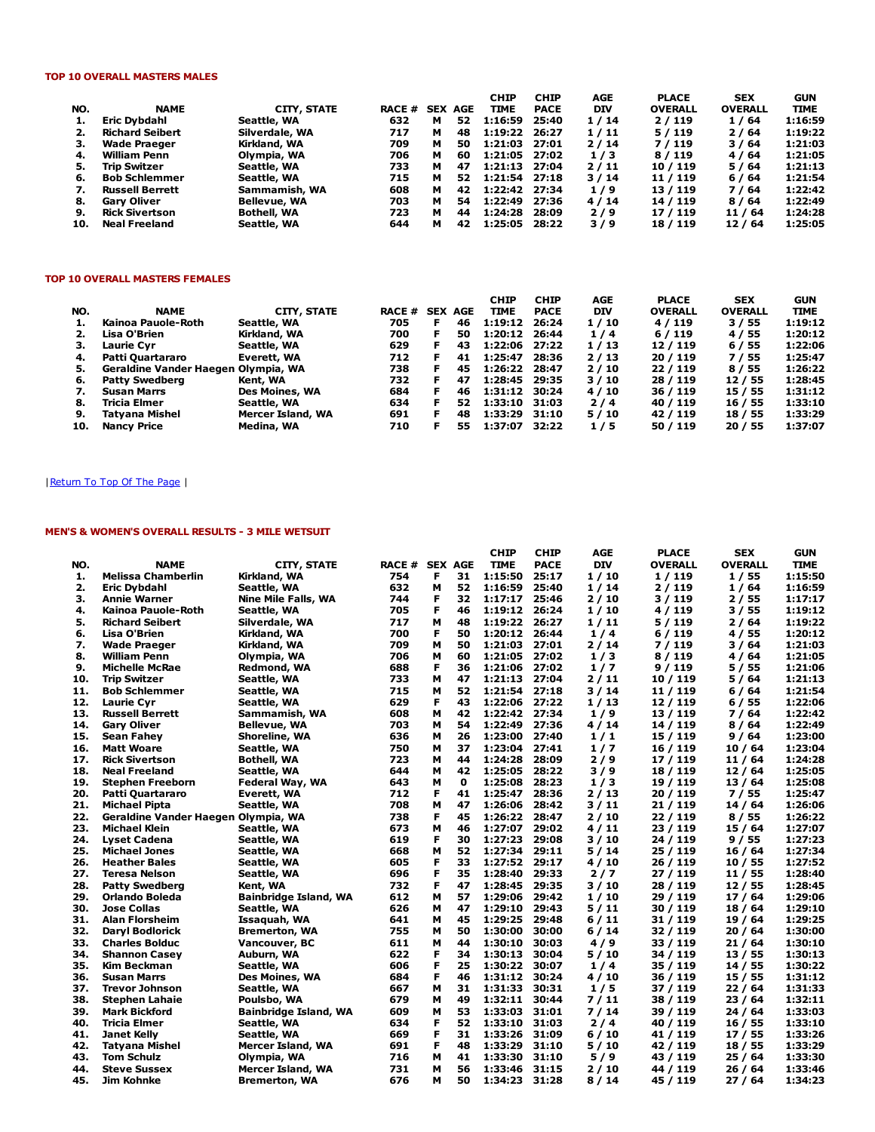## TOP 10 OVERALL MASTERS MALES

|     |                        |                     |               |   |                | <b>CHIP</b>   | <b>CHIP</b> | AGE        | <b>PLACE</b>   | <b>SEX</b>     | <b>GUN</b>  |
|-----|------------------------|---------------------|---------------|---|----------------|---------------|-------------|------------|----------------|----------------|-------------|
| NO. | <b>NAME</b>            | CITY, STATE         | <b>RACE #</b> |   | <b>SEX AGE</b> | TIME          | <b>PACE</b> | <b>DIV</b> | <b>OVERALL</b> | <b>OVERALL</b> | <b>TIME</b> |
| 1.  | Eric Dybdahl           | Seattle, WA         | 632           | м | 52             | 1:16:59       | 25:40       | 1/14       | 2/119          | 1/64           | 1:16:59     |
| 2.  | <b>Richard Seibert</b> | Silverdale, WA      | 717           | м | 48             | 1:19:22       | 26:27       | 1/11       | 5/119          | 2/64           | 1:19:22     |
| З.  | <b>Wade Praeger</b>    | Kirkland, WA        | 709           | м | 50             | 1:21:03 27:01 |             | 2/14       | 7/119          | 3/64           | 1:21:03     |
| 4.  | <b>William Penn</b>    | Olympia, WA         | 706           | м | 60             | 1:21:05 27:02 |             | 1/3        | 8/119          | 4/64           | 1:21:05     |
| 5.  | <b>Trip Switzer</b>    | Seattle, WA         | 733           | м | 47             | 1:21:13 27:04 |             | 2/11       | 10 / 119       | 5/64           | 1:21:13     |
| 6.  | <b>Bob Schlemmer</b>   | Seattle, WA         | 715           | м | 52             | 1:21:54 27:18 |             | 3/14       | 11 / 119       | 6/64           | 1:21:54     |
| 7.  | <b>Russell Berrett</b> | Sammamish, WA       | 608           | м | 42             | 1:22:42 27:34 |             | 1/9        | 13/119         | 7/64           | 1:22:42     |
| 8.  | <b>Gary Oliver</b>     | <b>Bellevue, WA</b> | 703           | м | 54             | 1:22:49 27:36 |             | 4/14       | 14 / 119       | 8/64           | 1:22:49     |
| 9.  | <b>Rick Sivertson</b>  | <b>Bothell, WA</b>  | 723           | м | 44             | 1:24:28       | 28:09       | 2/9        | 17 / 119       | 11 / 64        | 1:24:28     |
| 10. | <b>Neal Freeland</b>   | Seattle, WA         | 644           | м | 42             | 1:25:05       | 28:22       | 3/9        | 18 / 119       | 12/64          | 1:25:05     |

### TOP 10 OVERALL MASTERS FEMALES

|     |                                     |                   |               |                |    | <b>CHIP</b>   | <b>CHIP</b> | AGE  | <b>PLACE</b>   | <b>SEX</b>     | <b>GUN</b>  |
|-----|-------------------------------------|-------------------|---------------|----------------|----|---------------|-------------|------|----------------|----------------|-------------|
| NO. | <b>NAME</b>                         | CITY, STATE       | <b>RACE #</b> | <b>SEX AGE</b> |    | <b>TIME</b>   | <b>PACE</b> | DIV  | <b>OVERALL</b> | <b>OVERALL</b> | <b>TIME</b> |
| 1.  | Kainoa Pauole-Roth                  | Seattle, WA       | 705           | F.             | 46 | 1:19:12       | 26:24       | 1/10 | 4/119          | 3/55           | 1:19:12     |
| 2.  | Lisa O'Brien                        | Kirkland, WA      | 700           | F.             | 50 | 1:20:12       | 26:44       | 1/4  | 6/119          | 4 / 55         | 1:20:12     |
| З.  | Laurie Cvr                          | Seattle, WA       | 629           | F.             | 43 | 1:22:06       | 27:22       | 1/13 | 12/119         | 6/55           | 1:22:06     |
| 4.  | Patti Quartararo                    | Everett, WA       | 712           | F.             | 41 | 1:25:47       | 28:36       | 2/13 | 20/119         | 7/55           | 1:25:47     |
| 5.  | Geraldine Vander Haegen Olympia, WA |                   | 738           | F.             | 45 | 1:26:22       | 28:47       | 2/10 | 22/119         | 8 / 55         | 1:26:22     |
| 6.  | <b>Patty Swedberg</b>               | Kent, WA          | 732           | F              | 47 | 1:28:45       | 29:35       | 3/10 | 28 / 119       | 12/55          | 1:28:45     |
| 7.  | <b>Susan Marrs</b>                  | Des Moines, WA    | 684           | F              | 46 | 1:31:12 30:24 |             | 4/10 | 36 / 119       | 15 / 55        | 1:31:12     |
| 8.  | Tricia Elmer                        | Seattle, WA       | 634           | F              | 52 | 1:33:10 31:03 |             | 2/4  | 40 / 119       | 16 / 55        | 1:33:10     |
| 9.  | Tatvana Mishel                      | Mercer Island, WA | 691           | F.             | 48 | 1:33:29 31:10 |             | 5/10 | 42 / 119       | 18 / 55        | 1:33:29     |
| 10. | <b>Nancy Price</b>                  | Medina, WA        | 710           | E              | 55 | 1:37:07 32:22 |             | 1/5  | 50 / 119       | 20/55          | 1:37:07     |

# |Return To Top Of The Page |

## MEN'S & WOMEN'S OVERALL RESULTS - 3 MILE WETSUIT

| NO. | <b>NAME</b>                         |                              | RACE # | <b>SEX AGE</b> |          | <b>CHIP</b><br><b>TIME</b> | <b>CHIP</b><br><b>PACE</b> | AGE<br><b>DIV</b> | <b>PLACE</b><br><b>OVERALL</b> | <b>SEX</b><br><b>OVERALL</b> | <b>GUN</b><br><b>TIME</b> |
|-----|-------------------------------------|------------------------------|--------|----------------|----------|----------------------------|----------------------------|-------------------|--------------------------------|------------------------------|---------------------------|
|     |                                     | <b>CITY, STATE</b>           | 754    | F              |          |                            |                            |                   |                                |                              | 1:15:50                   |
| 1.  | <b>Melissa Chamberlin</b>           | Kirkland, WA<br>Seattle, WA  | 632    | М              | 31<br>52 | 1:15:50                    | 25:17                      | 1/10              | 1/119                          | 1/55                         |                           |
| 2.  | <b>Eric Dybdahl</b>                 |                              | 744    | F              |          | 1:16:59                    | 25:40<br>25:46             | 1 / 14            | 2/119                          | 1/64                         | 1:16:59                   |
| 3.  | <b>Annie Warner</b>                 | Nine Mile Falls, WA          |        | F              | 32       | 1:17:17                    |                            | 2/10              | 3/119                          | 2 / 55                       | 1:17:17                   |
| 4.  | Kainoa Pauole-Roth                  | Seattle, WA                  | 705    |                | 46       | 1:19:12 26:24              |                            | 1/10              | 4/119                          | 3/55                         | 1:19:12                   |
| 5.  | <b>Richard Seibert</b>              | Silverdale, WA               | 717    | М              | 48       | 1:19:22                    | 26:27                      | 1/11              | 5/119                          | 2 / 64                       | 1:19:22                   |
| 6.  | Lisa O'Brien                        | Kirkland, WA                 | 700    | F              | 50       | 1:20:12                    | 26:44                      | 1/4               | 6/119                          | 4/55                         | 1:20:12                   |
| 7.  | <b>Wade Praeger</b>                 | Kirkland, WA                 | 709    | M              | 50       | 1:21:03                    | 27:01                      | 2 / 14            | 7 / 119                        | 3 / 64                       | 1:21:03                   |
| 8.  | <b>William Penn</b>                 | Olympia, WA                  | 706    | M              | 60       | 1:21:05                    | 27:02                      | 1/3               | 8/119                          | 4 / 64                       | 1:21:05                   |
| 9.  | <b>Michelle McRae</b>               | Redmond, WA                  | 688    | F              | 36       | 1:21:06                    | 27:02                      | 1/7               | 9/119                          | 5 / 55                       | 1:21:06                   |
| 10. | Trip Switzer                        | Seattle, WA                  | 733    | М              | 47       | 1:21:13                    | 27:04                      | 2/11              | 10 / 119                       | 5 / 64                       | 1:21:13                   |
| 11. | <b>Bob Schlemmer</b>                | Seattle, WA                  | 715    | М              | 52       | 1:21:54 27:18              |                            | 3/14              | 11 / 119                       | 6 / 64                       | 1:21:54                   |
| 12. | Laurie Cvr                          | Seattle, WA                  | 629    | F              | 43       | 1:22:06                    | 27:22                      | 1/13              | 12 / 119                       | 6 / 55                       | 1:22:06                   |
| 13. | <b>Russell Berrett</b>              | Sammamish, WA                | 608    | М              | 42       | 1:22:42                    | 27:34                      | 1/9               | 13 / 119                       | 7/64                         | 1:22:42                   |
| 14. | <b>Gary Oliver</b>                  | Bellevue, WA                 | 703    | М              | 54       | 1:22:49                    | 27:36                      | 4 / 14            | 14 / 119                       | 8/64                         | 1:22:49                   |
| 15. | Sean Fahey                          | Shoreline, WA                | 636    | М              | 26       | 1:23:00                    | 27:40                      | 1/1               | 15 / 119                       | 9/64                         | 1:23:00                   |
| 16. | <b>Matt Woare</b>                   | Seattle, WA                  | 750    | м              | 37       | 1:23:04                    | 27:41                      | 1/7               | 16 / 119                       | 10/64                        | 1:23:04                   |
| 17. | <b>Rick Sivertson</b>               | Bothell, WA                  | 723    | М              | 44       | 1:24:28                    | 28:09                      | 2/9               | 17 / 119                       | 11/64                        | 1:24:28                   |
| 18. | <b>Neal Freeland</b>                | Seattle, WA                  | 644    | М              | 42       | 1:25:05                    | 28:22                      | 3/9               | 18 / 119                       | 12/64                        | 1:25:05                   |
| 19. | <b>Stephen Freeborn</b>             | Federal Way, WA              | 643    | М              | 0        | 1:25:08                    | 28:23                      | 1/3               | 19 / 119                       | 13/64                        | 1:25:08                   |
| 20. | Patti Quartararo                    | Everett, WA                  | 712    | F              | 41       | 1:25:47                    | 28:36                      | 2/13              | 20 / 119                       | 7/55                         | 1:25:47                   |
| 21. | Michael Pipta                       | Seattle, WA                  | 708    | м              | 47       | 1:26:06                    | 28:42                      | 3 / 11            | 21 / 119                       | 14 / 64                      | 1:26:06                   |
| 22. | Geraldine Vander Haegen Olympia, WA |                              | 738    | F              | 45       | 1:26:22                    | 28:47                      | 2/10              | 22 / 119                       | 8 / 55                       | 1:26:22                   |
| 23. | Michael Klein                       | Seattle, WA                  | 673    | М              | 46       | 1:27:07                    | 29:02                      | 4/11              | 23 / 119                       | 15 / 64                      | 1:27:07                   |
| 24. | <b>Lyset Cadena</b>                 | Seattle, WA                  | 619    | F              | 30       | 1:27:23                    | 29:08                      | 3/10              | 24 / 119                       | 9/55                         | 1:27:23                   |
| 25. | <b>Michael Jones</b>                | Seattle, WA                  | 668    | M              | 52       | 1:27:34                    | 29:11                      | 5 / 14            | 25 / 119                       | 16/64                        | 1:27:34                   |
| 26. | <b>Heather Bales</b>                | Seattle, WA                  | 605    | F              | 33       | 1:27:52                    | 29:17                      | 4/10              | 26 / 119                       | 10 / 55                      | 1:27:52                   |
| 27. | Teresa Nelson                       | Seattle, WA                  | 696    | F              | 35       | 1:28:40                    | 29:33                      | 2/7               | 27/119                         | 11/55                        | 1:28:40                   |
| 28. | <b>Patty Swedberg</b>               | Kent, WA                     | 732    | F              | 47       | 1:28:45                    | 29:35                      | 3/10              | 28 / 119                       | 12 / 55                      | 1:28:45                   |
| 29. | Orlando Boleda                      | <b>Bainbridge Island, WA</b> | 612    | M              | 57       | 1:29:06                    | 29:42                      | 1/10              | 29 / 119                       | 17/64                        | 1:29:06                   |
| 30. | <b>Jose Collas</b>                  | Seattle, WA                  | 626    | м              | 47       | 1:29:10                    | 29:43                      | 5/11              | 30 / 119                       | 18 / 64                      | 1:29:10                   |
| 31. | <b>Alan Florsheim</b>               | Issaquah, WA                 | 641    | М              | 45       | 1:29:25                    | 29:48                      | 6 / 11            | 31 / 119                       | 19 / 64                      | 1:29:25                   |
| 32. | Daryl Bodlorick                     | <b>Bremerton, WA</b>         | 755    | м              | 50       | 1:30:00                    | 30:00                      | 6/14              | 32 / 119                       | 20/64                        | 1:30:00                   |
| 33. | <b>Charles Bolduc</b>               | Vancouver, BC                | 611    | М              | 44       | 1:30:10                    | 30:03                      | 4/9               | 33 / 119                       | 21/64                        | 1:30:10                   |
| 34. | <b>Shannon Casey</b>                | Auburn, WA                   | 622    | F              | 34       | 1:30:13                    | 30:04                      | 5/10              | 34 / 119                       | 13 / 55                      | 1:30:13                   |
| 35. | Kim Beckman                         | Seattle, WA                  | 606    | F              | 25       | 1:30:22                    | 30:07                      | 1/4               | 35 / 119                       | 14 / 55                      | 1:30:22                   |
| 36. | Susan Marrs                         | <b>Des Moines, WA</b>        | 684    | F              | 46       | 1:31:12                    | 30:24                      | 4/10              | 36 / 119                       | 15/55                        | 1:31:12                   |
| 37. | <b>Trevor Johnson</b>               | Seattle, WA                  | 667    | м              | 31       | 1:31:33                    | 30:31                      | 1/5               | 37 / 119                       | 22/64                        | 1:31:33                   |
| 38. | <b>Stephen Lahaie</b>               | Poulsbo, WA                  | 679    | М              | 49       | 1:32:11                    | 30:44                      | 7/11              | 38 / 119                       | 23/64                        | 1:32:11                   |
| 39. | <b>Mark Bickford</b>                | <b>Bainbridge Island, WA</b> | 609    | м              | 53       | 1:33:03                    | 31:01                      | 7/14              | 39 / 119                       | 24/64                        | 1:33:03                   |
| 40. | <b>Tricia Elmer</b>                 | Seattle, WA                  | 634    | F              | 52       | 1:33:10                    | 31:03                      | 2/4               | 40 / 119                       | 16/55                        | 1:33:10                   |
| 41. | Janet Kelly                         | Seattle, WA                  | 669    | F              | 31       | 1:33:26                    | 31:09                      | 6/10              | 41 / 119                       | 17/55                        | 1:33:26                   |
| 42. | <b>Tatyana Mishel</b>               | Mercer Island, WA            | 691    | F              | 48       | 1:33:29                    | 31:10                      | 5 / 10            | 42 / 119                       | 18 / 55                      | 1:33:29                   |
| 43. | Tom Schulz                          | Olympia, WA                  | 716    | М              | 41       | 1:33:30                    | 31:10                      | 5/9               | 43 / 119                       | 25 / 64                      | 1:33:30                   |
| 44. | <b>Steve Sussex</b>                 | Mercer Island, WA            | 731    | М              | 56       | 1:33:46                    | 31:15                      | 2 / 10            | 44 / 119                       | 26 / 64                      | 1:33:46                   |
| 45. | Jim Kohnke                          | <b>Bremerton, WA</b>         | 676    | М              | 50       | 1:34:23                    | 31:28                      | 8/14              | 45 / 119                       | 27/64                        | 1:34:23                   |